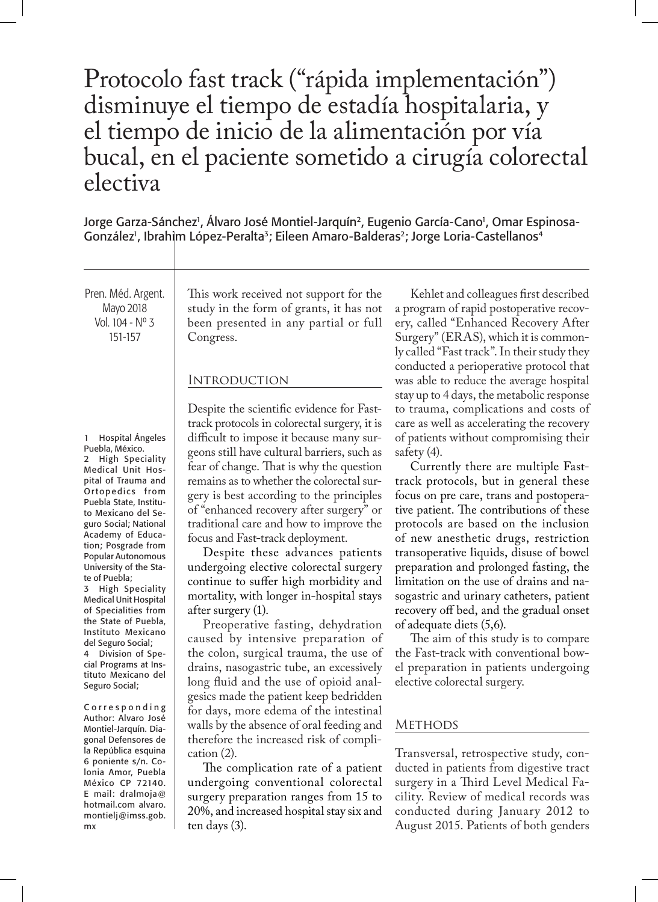# Protocolo fast track ("rápida implementación") disminuye el tiempo de estadía hospitalaria, y el tiempo de inicio de la alimentación por vía bucal, en el paciente sometido a cirugía colorectal electiva

Jorge Garza-Sánchez', Álvaro José Montiel-Jarquín<sup>2</sup>, Eugenio García-Cano', Omar Espinosa-González<sup>,</sup>, Ibrahim López-Peralta<sup>3</sup>; Eileen Amaro-Balderas<sup>2</sup>; Jorge Loria-Castellanos<sup>4</sup>

Pren. Méd. Argent. Mayo 2018 Vol. 104 - Nº 3 151-157

1 Hospital Ángeles Puebla, México.

2 High Speciality Medical Unit Hospital of Trauma and Or topedics from Puebla State, Instituto Mexicano del Seguro Social; National Academy of Education; Posgrade from Popular Autonomous University of the State of Puebla;

3 High Speciality Medical Unit Hospital of Specialities from the State of Puebla, Instituto Mexicano del Seguro Social;

4 Division of Special Programs at Instituto Mexicano del Seguro Social;

C o r r e s p o n d i n g Author: Alvaro José Montiel-Jarquín. Diagonal Defensores de la República esquina 6 poniente s/n. Colonia Amor, Puebla México CP 72140. E mail: dralmoja@ hotmail.com alvaro. montielj@imss.gob. mx

This work received not support for the study in the form of grants, it has not been presented in any partial or full Congress.

# **INTRODUCTION**

Despite the scientific evidence for Fasttrack protocols in colorectal surgery, it is difficult to impose it because many surgeons still have cultural barriers, such as fear of change. That is why the question remains as to whether the colorectal surgery is best according to the principles of "enhanced recovery after surgery" or traditional care and how to improve the focus and Fast-track deployment.

Despite these advances patients undergoing elective colorectal surgery continue to suffer high morbidity and mortality, with longer in-hospital stays after surgery (1).

Preoperative fasting, dehydration caused by intensive preparation of the colon, surgical trauma, the use of drains, nasogastric tube, an excessively long fluid and the use of opioid analgesics made the patient keep bedridden for days, more edema of the intestinal walls by the absence of oral feeding and therefore the increased risk of complication (2).

The complication rate of a patient undergoing conventional colorectal surgery preparation ranges from 15 to 20%, and increased hospital stay six and ten days (3).

Kehlet and colleagues first described a program of rapid postoperative recovery, called "Enhanced Recovery After Surgery" (ERAS), which it is commonly called "Fast track". In their study they conducted a perioperative protocol that was able to reduce the average hospital stay up to 4 days, the metabolic response to trauma, complications and costs of care as well as accelerating the recovery of patients without compromising their safety (4).

Currently there are multiple Fasttrack protocols, but in general these focus on pre care, trans and postoperative patient. The contributions of these protocols are based on the inclusion of new anesthetic drugs, restriction transoperative liquids, disuse of bowel preparation and prolonged fasting, the limitation on the use of drains and nasogastric and urinary catheters, patient recovery off bed, and the gradual onset of adequate diets (5,6).

The aim of this study is to compare the Fast-track with conventional bowel preparation in patients undergoing elective colorectal surgery.

# **METHODS**

Transversal, retrospective study, conducted in patients from digestive tract surgery in a Third Level Medical Facility. Review of medical records was conducted during January 2012 to August 2015. Patients of both genders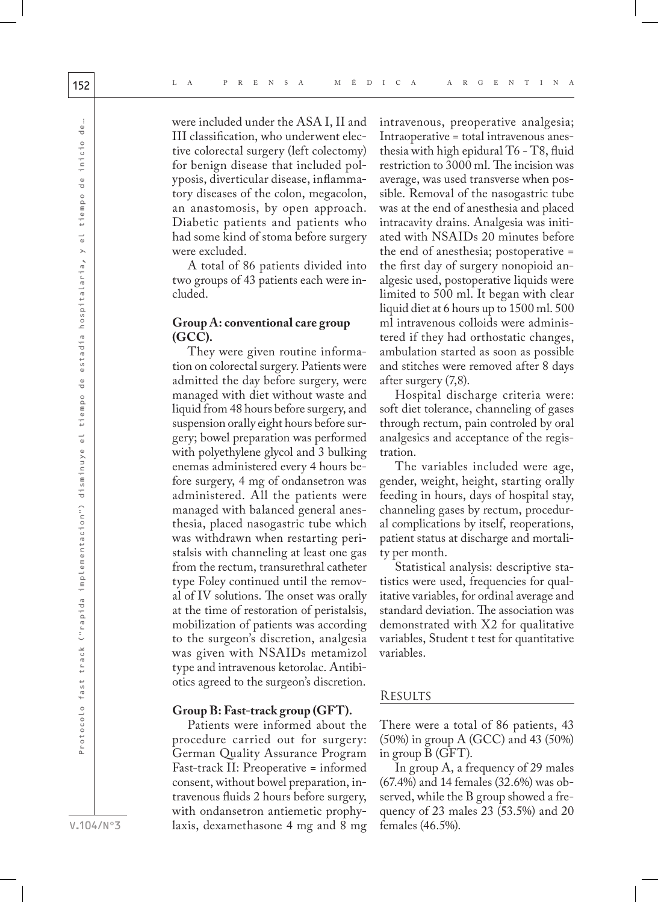were included under the ASA I, II and III classification, who underwent elective colorectal surgery (left colectomy) for benign disease that included polyposis, diverticular disease, inflammatory diseases of the colon, megacolon, an anastomosis, by open approach. Diabetic patients and patients who had some kind of stoma before surgery were excluded.

A total of 86 patients divided into two groups of 43 patients each were included.

## **Group A: conventional care group (GCC).**

They were given routine information on colorectal surgery. Patients were admitted the day before surgery, were managed with diet without waste and liquid from 48 hours before surgery, and suspension orally eight hours before surgery; bowel preparation was performed with polyethylene glycol and 3 bulking enemas administered every 4 hours before surgery, 4 mg of ondansetron was administered. All the patients were managed with balanced general anesthesia, placed nasogastric tube which was withdrawn when restarting peristalsis with channeling at least one gas from the rectum, transurethral catheter type Foley continued until the removal of IV solutions. The onset was orally at the time of restoration of peristalsis, mobilization of patients was according to the surgeon's discretion, analgesia was given with NSAIDs metamizol type and intravenous ketorolac. Antibiotics agreed to the surgeon's discretion.

## **Group B: Fast-track group (GFT).**

Patients were informed about the procedure carried out for surgery: German Quality Assurance Program Fast-track II: Preoperative = informed consent, without bowel preparation, intravenous fluids 2 hours before surgery, with ondansetron antiemetic prophylaxis, dexamethasone 4 mg and 8 mg intravenous, preoperative analgesia; Intraoperative = total intravenous anesthesia with high epidural T6 - T8, fluid restriction to 3000 ml. The incision was average, was used transverse when possible. Removal of the nasogastric tube was at the end of anesthesia and placed intracavity drains. Analgesia was initiated with NSAIDs 20 minutes before the end of anesthesia; postoperative = the first day of surgery nonopioid analgesic used, postoperative liquids were limited to 500 ml. It began with clear liquid diet at 6 hours up to 1500 ml. 500 ml intravenous colloids were administered if they had orthostatic changes, ambulation started as soon as possible and stitches were removed after 8 days after surgery (7,8).

Hospital discharge criteria were: soft diet tolerance, channeling of gases through rectum, pain controled by oral analgesics and acceptance of the registration.

The variables included were age, gender, weight, height, starting orally feeding in hours, days of hospital stay, channeling gases by rectum, procedural complications by itself, reoperations, patient status at discharge and mortality per month.

Statistical analysis: descriptive statistics were used, frequencies for qualitative variables, for ordinal average and standard deviation. The association was demonstrated with X2 for qualitative variables, Student t test for quantitative variables.

## **RESULTS**

There were a total of 86 patients, 43 (50%) in group A (GCC) and 43 (50%) in group B (GFT).

In group A, a frequency of 29 males (67.4%) and 14 females (32.6%) was observed, while the B group showed a frequency of 23 males 23 (53.5%) and 20 females (46.5%).

V.104/Nº3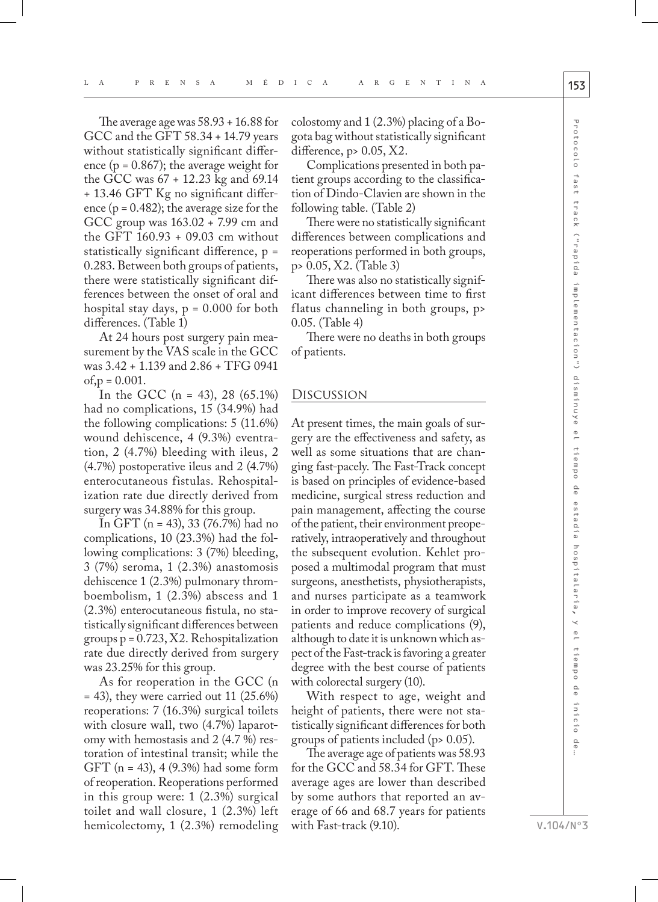The average age was 58.93 + 16.88 for GCC and the GFT 58.34 + 14.79 years without statistically significant difference ( $p = 0.867$ ); the average weight for the GCC was 67 + 12.23 kg and 69.14 + 13.46 GFT Kg no significant difference ( $p = 0.482$ ); the average size for the GCC group was 163.02 + 7.99 cm and the GFT 160.93 + 09.03 cm without statistically significant difference, p = 0.283. Between both groups of patients, there were statistically significant differences between the onset of oral and hospital stay days,  $p = 0.000$  for both differences. (Table 1)

At 24 hours post surgery pain measurement by the VAS scale in the GCC was 3.42 + 1.139 and 2.86 + TFG 0941  $of, p = 0.001$ .

In the GCC (n = 43), 28 (65.1%) had no complications, 15 (34.9%) had the following complications: 5 (11.6%) wound dehiscence, 4 (9.3%) eventration, 2 (4.7%) bleeding with ileus, 2 (4.7%) postoperative ileus and 2 (4.7%) enterocutaneous fistulas. Rehospitalization rate due directly derived from surgery was 34.88% for this group.

In GFT (n = 43), 33 (76.7%) had no complications, 10 (23.3%) had the following complications: 3 (7%) bleeding, 3 (7%) seroma, 1 (2.3%) anastomosis dehiscence 1 (2.3%) pulmonary thromboembolism, 1 (2.3%) abscess and 1 (2.3%) enterocutaneous fistula, no statistically significant differences between groups  $p = 0.723, X2$ . Rehospitalization rate due directly derived from surgery was 23.25% for this group.

As for reoperation in the GCC (n  $=$  43), they were carried out 11 (25.6%) reoperations: 7 (16.3%) surgical toilets with closure wall, two (4.7%) laparotomy with hemostasis and 2 (4.7 %) restoration of intestinal transit; while the GFT (n = 43), 4 (9.3%) had some form of reoperation. Reoperations performed in this group were: 1 (2.3%) surgical toilet and wall closure, 1 (2.3%) left hemicolectomy, 1 (2.3%) remodeling

colostomy and 1 (2.3%) placing of a Bogota bag without statistically significant difference,  $p > 0.05$ ,  $X2$ .

Complications presented in both patient groups according to the classification of Dindo-Clavien are shown in the following table. (Table 2)

There were no statistically significant differences between complications and reoperations performed in both groups, p> 0.05, X2. (Table 3)

There was also no statistically significant differences between time to first flatus channeling in both groups, p> 0.05. (Table 4)

There were no deaths in both groups of patients.

#### Discussion

At present times, the main goals of surgery are the effectiveness and safety, as well as some situations that are changing fast-pacely. The Fast-Track concept is based on principles of evidence-based medicine, surgical stress reduction and pain management, affecting the course of the patient, their environment preoperatively, intraoperatively and throughout the subsequent evolution. Kehlet proposed a multimodal program that must surgeons, anesthetists, physiotherapists, and nurses participate as a teamwork in order to improve recovery of surgical patients and reduce complications (9), although to date it is unknown which aspect of the Fast-track is favoring a greater degree with the best course of patients with colorectal surgery (10).

With respect to age, weight and height of patients, there were not statistically significant differences for both groups of patients included (p> 0.05).

The average age of patients was 58.93 for the GCC and 58.34 for GFT. These average ages are lower than described by some authors that reported an average of 66 and 68.7 years for patients with Fast-track (9.10).

V.104/Nº3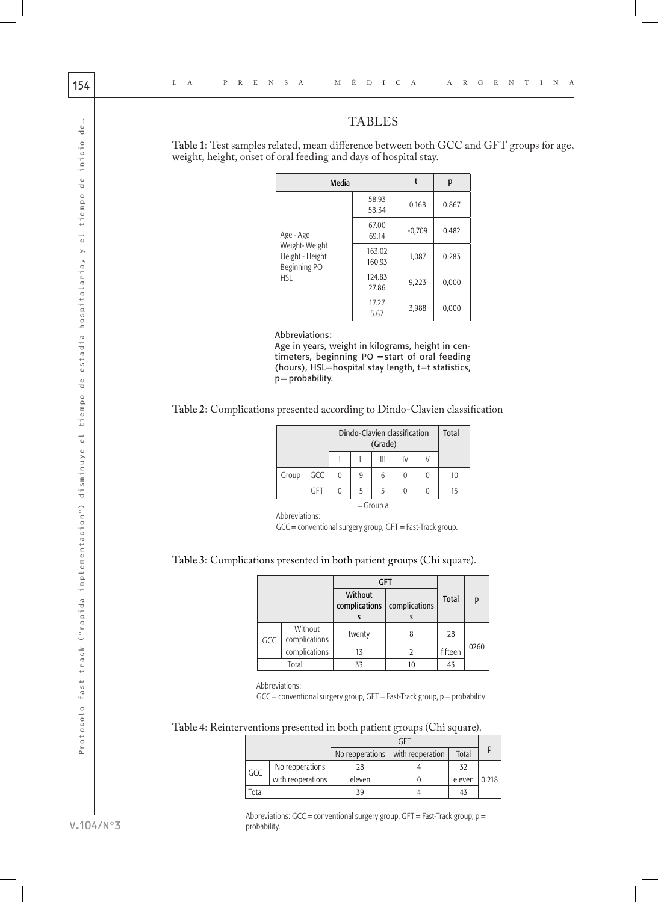# TABLES

**Table 1:** Test samples related, mean difference between both GCC and GFT groups for age, weight, height, onset of oral feeding and days of hospital stay.

| Media                                                                       |                  | t        | р     |
|-----------------------------------------------------------------------------|------------------|----------|-------|
| Age - Age<br>Weight-Weight<br>Height - Height<br>Beginning PO<br><b>HSL</b> | 58.93<br>58.34   | 0.168    | 0.867 |
|                                                                             | 67.00<br>69.14   | $-0,709$ | 0.482 |
|                                                                             | 163.02<br>160.93 | 1,087    | 0.283 |
|                                                                             | 124.83<br>27.86  | 9,223    | 0,000 |
|                                                                             | 17.27<br>5.67    | 3,988    | 0,000 |

Abbreviations:

Age in years, weight in kilograms, height in centimeters, beginning PO =start of oral feeding (hours),  $HSL =$  hospital stay length,  $t = t$  statistics, p= probability.

**Table 2:** Complications presented according to Dindo-Clavien classification

|             |            | Dindo-Clavien classification<br>(Grade) |   |   |    |  | <b>Total</b> |
|-------------|------------|-----------------------------------------|---|---|----|--|--------------|
|             |            |                                         | Π | Ш | IV |  |              |
| Group       | GCC        | 0                                       | 9 | 6 | 0  |  |              |
|             | <b>GFT</b> | 0                                       | 5 | 5 | 0  |  | 15           |
| $=$ Group a |            |                                         |   |   |    |  |              |

Abbreviations:

GCC = conventional surgery group, GFT = Fast-Track group.

## **Table 3:** Complications presented in both patient groups (Chi square).

|       |                          | GFT                      |               |              |      |  |
|-------|--------------------------|--------------------------|---------------|--------------|------|--|
|       |                          | Without<br>complications | complications | <b>Total</b> | p    |  |
|       |                          |                          |               |              |      |  |
| GCC   | Without<br>complications | twenty                   |               | 28           |      |  |
|       | complications            | 13                       |               | fifteen      | 0260 |  |
| Total |                          | 33                       |               | 43           |      |  |

Abbreviations:

GCC = conventional surgery group, GFT = Fast-Track group, p = probability

**Table 4:** Reinterventions presented in both patient groups (Chi square).

|      |                   | No reoperations | with reoperation | Total  |       |  |
|------|-------------------|-----------------|------------------|--------|-------|--|
| GCC  | No reoperations   | 28              |                  |        |       |  |
|      | with reoperations | eleven          |                  | eleven | 0.218 |  |
| otal |                   | 39              |                  |        |       |  |

Abbreviations: GCC = conventional surgery group, GFT = Fast-Track group, p = probability.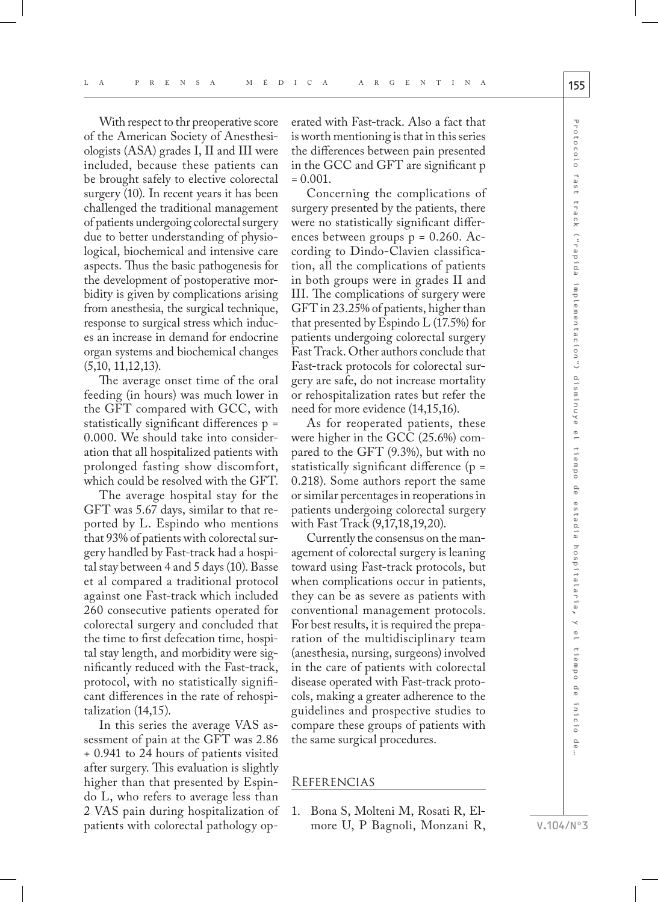With respect to thr preoperative score of the American Society of Anesthesiologists (ASA) grades I, II and III were included, because these patients can be brought safely to elective colorectal surgery (10). In recent years it has been challenged the traditional management of patients undergoing colorectal surgery due to better understanding of physiological, biochemical and intensive care aspects. Thus the basic pathogenesis for the development of postoperative morbidity is given by complications arising from anesthesia, the surgical technique, response to surgical stress which induces an increase in demand for endocrine organ systems and biochemical changes (5,10, 11,12,13).

The average onset time of the oral feeding (in hours) was much lower in the GFT compared with GCC, with statistically significant differences p = 0.000. We should take into consideration that all hospitalized patients with prolonged fasting show discomfort, which could be resolved with the GFT.

The average hospital stay for the GFT was 5.67 days, similar to that reported by L. Espindo who mentions that 93% of patients with colorectal surgery handled by Fast-track had a hospital stay between 4 and 5 days (10). Basse et al compared a traditional protocol against one Fast-track which included 260 consecutive patients operated for colorectal surgery and concluded that the time to first defecation time, hospital stay length, and morbidity were significantly reduced with the Fast-track, protocol, with no statistically significant differences in the rate of rehospitalization (14,15).

In this series the average VAS assessment of pain at the GFT was 2.86 + 0.941 to 24 hours of patients visited after surgery. This evaluation is slightly higher than that presented by Espindo L, who refers to average less than 2 VAS pain during hospitalization of patients with colorectal pathology op-

erated with Fast-track. Also a fact that is worth mentioning is that in this series the differences between pain presented in the GCC and GFT are significant p  $= 0.001.$ 

Concerning the complications of surgery presented by the patients, there were no statistically significant differences between groups p = 0.260. According to Dindo-Clavien classification, all the complications of patients in both groups were in grades II and III. The complications of surgery were GFT in 23.25% of patients, higher than that presented by Espindo L (17.5%) for patients undergoing colorectal surgery Fast Track. Other authors conclude that Fast-track protocols for colorectal surgery are safe, do not increase mortality or rehospitalization rates but refer the need for more evidence (14,15,16).

As for reoperated patients, these were higher in the GCC (25.6%) compared to the GFT (9.3%), but with no statistically significant difference (p = 0.218). Some authors report the same or similar percentages in reoperations in patients undergoing colorectal surgery with Fast Track (9,17,18,19,20).

Currently the consensus on the management of colorectal surgery is leaning toward using Fast-track protocols, but when complications occur in patients, they can be as severe as patients with conventional management protocols. For best results, it is required the preparation of the multidisciplinary team (anesthesia, nursing, surgeons) involved in the care of patients with colorectal disease operated with Fast-track protocols, making a greater adherence to the guidelines and prospective studies to compare these groups of patients with the same surgical procedures.

## **REFERENCIAS**

1. Bona S, Molteni M, Rosati R, Elmore U, P Bagnoli, Monzani R, o<br>O

estadía hospitalaria,

y el tiempo de inicio

 $\frac{1}{\sigma}$ 

V.104/Nº3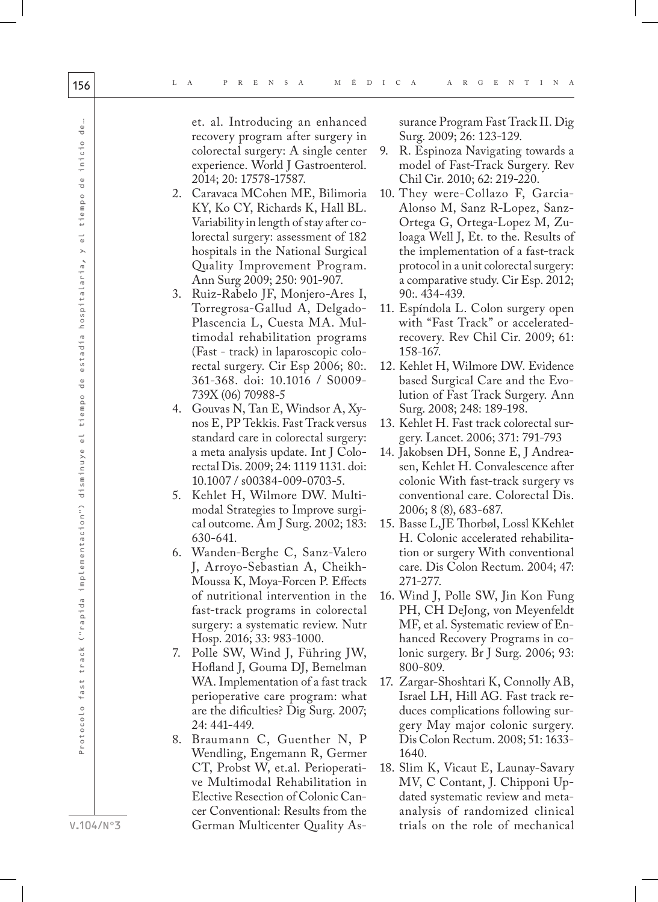et. al. Introducing an enhanced recovery program after surgery in colorectal surgery: A single center experience. World J Gastroenterol. 2014; 20: 17578-17587.

- 2. Caravaca MCohen ME, Bilimoria KY, Ko CY, Richards K, Hall BL. Variability in length of stay after co lorectal surgery: assessment of 182 hospitals in the National Surgical Quality Improvement Program. Ann Surg 2009; 250: 901-907.
- 3. Ruiz-Rabelo JF, Monjero-Ares I, Torregrosa-Gallud A, Delgado-Plascencia L, Cuesta MA. Multimodal rehabilitation programs (Fast - track) in laparoscopic colo rectal surgery. Cir Esp 2006; 80:. 361-368. doi: 10.1016 / S0009- 739X (06) 70988-5
- 4. Gouvas N, Tan E, Windsor A, Xy nos E, PP Tekkis. Fast Track versus standard care in colorectal surgery: a meta analysis update. Int J Colo rectal Dis. 2009; 24: 1119 1131. doi: 10.1007 / s00384-009-0703-5.
- 5. Kehlet H, Wilmore DW. Multi modal Strategies to Improve surgi cal outcome. Am J Surg. 2002; 183: 630-641.
- 6. Wanden-Berghe C, Sanz-Valero J, Arroyo-Sebastian A, Cheikh-Moussa K, Moya-Forcen P. Effects of nutritional intervention in the fast-track programs in colorectal surgery: a systematic review. Nutr Hosp. 2016; 33: 983-1000.
- 7. Polle SW, Wind J, Führing JW, Hofland J, Gouma DJ, Bemelman WA. Implementation of a fast track perioperative care program: what are the dificulties? Dig Surg. 2007; 24: 441-449.
- 8. Braumann C, Guenther N, P Wendling, Engemann R, Germer CT, Probst W, et.al. Perioperati ve Multimodal Rehabilitation in Elective Resection of Colonic Can cer Conventional: Results from the German Multicenter Quality As -

surance Program Fast Track II. Dig Surg. 2009; 26: 123-129.

- 9. R. Espinoza Navigating towards a model of Fast-Track Surgery. Rev Chil Cir. 2010; 62: 219-220.
- 10. They were-Collazo F, Garcia-Alonso M, Sanz R-Lopez, Sanz-Ortega G, Ortega-Lopez M, Zuloaga Well J, Et. to the. Results of the implementation of a fast-track protocol in a unit colorectal surgery: a comparative study. Cir Esp. 2012; 90:. 434-439.
- 11. Espíndola L. Colon surgery open with "Fast Track" or acceleratedrecovery. Rev Chil Cir. 2009; 61: 158-167.
- 12. Kehlet H, Wilmore DW. Evidence based Surgical Care and the Evo lution of Fast Track Surgery. Ann Surg. 2008; 248: 189-198.
- 13. Kehlet H. Fast track colorectal sur gery. Lancet. 2006; 371: 791-793
- 14. Jakobsen DH, Sonne E, J Andrea sen, Kehlet H. Convalescence after colonic With fast-track surgery vs conventional care. Colorectal Dis. 2006; 8 (8), 683-687.
- 15. Basse L,JE Thorbøl, Lossl KKehlet H. Colonic accelerated rehabilita tion or surgery With conventional care. Dis Colon Rectum. 2004; 47: 271-277.
- 16. Wind J, Polle SW, Jin Kon Fung PH, CH DeJong, von Meyenfeldt MF, et al. Systematic review of En hanced Recovery Programs in co lonic surgery. Br J Surg. 2006; 93: 800-809.
- 17. Zargar-Shoshtari K, Connolly AB, Israel LH, Hill AG. Fast track re duces complications following sur gery May major colonic surgery. Dis Colon Rectum. 2008; 51: 1633- 1640.
- 18. Slim K, Vicaut E, Launay-Savary MV, C Contant, J. Chipponi Up dated systematic review and metaanalysis of randomized clinical trials on the role of mechanical

 $\frac{e}{\sigma}$ 

inicio

 $\frac{1}{\sigma}$ 

tiempo

 $\frac{1}{\omega}$  $\overline{\phantom{0}}$ 

hospitalaria,

estadia

 $\frac{1}{\sqrt{2}}$ 

tiempo

Protocolo fast track ("rapida implementacion") disminuye el tiempo de estadía hospitalaria, y el tiempo de inicio de…

 $\frac{1}{\omega}$ 

disminuye

Protocolo fast track ("rapida implementacion")